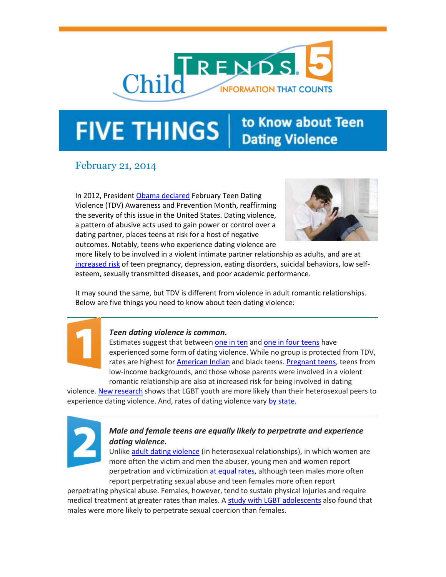

# to Know about Teen **FIVE THINGS Dating Violence**

# February 21, 2014

In 2012, President [Obama declared](http://www.whitehouse.gov/the-press-office/2012/01/31/presidential-proclamation-national-teen-dating-violence-awareness-and-pr?utm_source=Copy+of+Child+Trends+5%3A+5+Ways+Poverty+Harms+Children&utm_campaign=5+things+to+know+about+teen+dating+violence&utm_medium=email) February Teen Dating Violence (TDV) Awareness and Prevention Month, reaffirming the severity of this issue in the United States. Dating violence, a pattern of abusive acts used to gain power or control over a dating partner, places teens at risk for a host of negative outcomes. Notably, teens who experience dating violence are



more likely to be involved in a violent intimate partner relationship as adults, and are at [increased risk](http://www.childtrends.org/?indicators=dating-violence&utm_source=Copy+of+Child+Trends+5%3A+5+Ways+Poverty+Harms+Children&utm_campaign=5+things+to+know+about+teen+dating+violence&utm_medium=email) of teen pregnancy, depression, eating disorders, suicidal behaviors, low selfesteem, sexually transmitted diseases, and poor academic performance.

It may sound the same, but TDV is different from violence in adult romantic relationships. Below are five things you need to know about teen dating violence:



### *Teen dating violence is common.*

Estimates suggest that between [one in ten](http://www.hhs.gov/ash/oah/adolescent-health-topics/healthy-relationships/dating-violence.html?utm_source=Copy+of+Child+Trends+5%3A+5+Ways+Poverty+Harms+Children&utm_campaign=5+things+to+know+about+teen+dating+violence&utm_medium=email) and [one in four teens](http://www.apa.org/news/press/releases/2013/08/sexual-teen.pdf?utm_source=Copy+of+Child+Trends+5%3A+5+Ways+Poverty+Harms+Children&utm_campaign=5+things+to+know+about+teen+dating+violence&utm_medium=email) have experienced some form of dating violence. While no group is protected from TDV, rates are highest fo[r American Indian](http://www.ncbi.nlm.nih.gov/pubmed/15837341?utm_source=Copy+of+Child+Trends+5%3A+5+Ways+Poverty+Harms+Children&utm_campaign=5+things+to+know+about+teen+dating+violence&utm_medium=email) and black teens. [Pregnant teens,](http://www.ncbi.nlm.nih.gov/pubmed/18667049?utm_source=Copy+of+Child+Trends+5%3A+5+Ways+Poverty+Harms+Children&utm_campaign=5+things+to+know+about+teen+dating+violence&utm_medium=email) teens from low-income backgrounds, and those whose parents were involved in a violent romantic relationship are also at increased risk for being involved in dating

violence[. New research](http://www.urban.org/url.cfm?ID=904600&renderforprint=1&utm_source=Copy+of+Child+Trends+5%3A+5+Ways+Poverty+Harms+Children&utm_campaign=5+things+to+know+about+teen+dating+violence&utm_medium=email) shows that LGBT youth are more likely than their heterosexual peers to experience dating violence. And, rates of dating violence vary [by state.](http://www.hhs.gov/ash/oah/adolescent-health-topics/healthy-relationships/states/?utm_source=Copy+of+Child+Trends+5%3A+5+Ways+Poverty+Harms+Children&utm_campaign=5+things+to+know+about+teen+dating+violence&utm_medium=email)



## *Male and female teens are equally likely to perpetrate and experience dating violence.*

Unlik[e adult dating violence](http://www.bjs.gov/content/pub/pdf/ipv9310.pdf?utm_source=Copy+of+Child+Trends+5%3A+5+Ways+Poverty+Harms+Children&utm_campaign=5+things+to+know+about+teen+dating+violence&utm_medium=email) (in heterosexual relationships), in which women are more often the victim and men the abuser, young men and women report perpetration and victimization [at equal rates,](http://www.vawnet.org/applied-research-papers/print-document.php?doc_id=409&utm_source=Copy+of+Child+Trends+5%3A+5+Ways+Poverty+Harms+Children&utm_campaign=5+things+to+know+about+teen+dating+violence&utm_medium=email) although teen males more often report perpetrating sexual abuse and teen females more often report

perpetrating physical abuse. Females, however, tend to sustain physical injuries and require medical treatment at greater rates than males. A [study with LGBT adolescents](http://www.urban.org/UploadedPDF/412892-Dating-Violence-Experiences-of-Lesbian-Gay-Bisexual-and-Transgender-Youth.pdf?utm_source=Copy+of+Child+Trends+5%3A+5+Ways+Poverty+Harms+Children&utm_campaign=5+things+to+know+about+teen+dating+violence&utm_medium=email) also found that males were more likely to perpetrate sexual coercion than females.